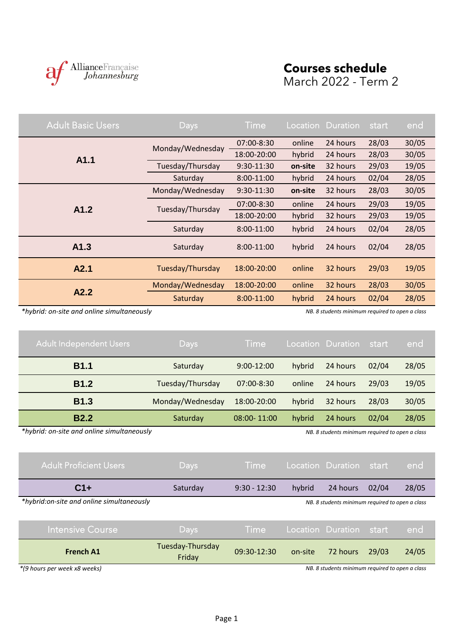

## **Courses schedule** March 2022 - Term 2

| <b>Adult Basic Users</b> | <b>Days</b>      | Time        |         | Location Duration | start | end   |
|--------------------------|------------------|-------------|---------|-------------------|-------|-------|
|                          | Monday/Wednesday | 07:00-8:30  | online  | 24 hours          | 28/03 | 30/05 |
| A1.1                     |                  | 18:00-20:00 | hybrid  | 24 hours          | 28/03 | 30/05 |
|                          | Tuesday/Thursday | 9:30-11:30  | on-site | 32 hours          | 29/03 | 19/05 |
|                          | Saturday         | 8:00-11:00  | hybrid  | 24 hours          | 02/04 | 28/05 |
|                          | Monday/Wednesday | 9:30-11:30  | on-site | 32 hours          | 28/03 | 30/05 |
| A1.2                     | Tuesday/Thursday | 07:00-8:30  | online  | 24 hours          | 29/03 | 19/05 |
|                          |                  | 18:00-20:00 | hybrid  | 32 hours          | 29/03 | 19/05 |
|                          | Saturday         | 8:00-11:00  | hybrid  | 24 hours          | 02/04 | 28/05 |
| A1.3                     | Saturday         | 8:00-11:00  | hybrid  | 24 hours          | 02/04 | 28/05 |
| A2.1                     | Tuesday/Thursday | 18:00-20:00 | online  | 32 hours          | 29/03 | 19/05 |
|                          | Monday/Wednesday | 18:00-20:00 | online  | 32 hours          | 28/03 | 30/05 |
| A2.2                     | Saturday         | 8:00-11:00  | hybrid  | 24 hours          | 02/04 | 28/05 |

 *\*hybrid: on-site and online simultaneously NB. 8 students minimum required to open a class*

| <b>Adult Independent Users</b> | Days             | <b>Time</b>     |        | Location Duration | start | end   |
|--------------------------------|------------------|-----------------|--------|-------------------|-------|-------|
| <b>B1.1</b>                    | Saturday         | $9:00-12:00$    | hybrid | 24 hours          | 02/04 | 28/05 |
| <b>B1.2</b>                    | Tuesday/Thursday | 07:00-8:30      | online | 24 hours          | 29/03 | 19/05 |
| <b>B1.3</b>                    | Monday/Wednesday | 18:00-20:00     | hybrid | 32 hours          | 28/03 | 30/05 |
| <b>B2.2</b>                    | Saturday         | $08:00 - 11:00$ | hybrid | 24 hours          | 02/04 | 28/05 |

 *\*hybrid: on-site and online simultaneously NB. 8 students minimum required to open a class*

| Adult Proficient Users                    | Days                       | <b>Time</b>    |         | Location Duration                               | start | end   |
|-------------------------------------------|----------------------------|----------------|---------|-------------------------------------------------|-------|-------|
| $C1+$                                     | Saturday                   | $9:30 - 12:30$ | hybrid  | 24 hours                                        | 02/04 | 28/05 |
| *hybrid:on-site and online simultaneously |                            |                |         | NB. 8 students minimum required to open a class |       |       |
| <b>Intensive Course</b>                   | Days                       | <b>Time</b>    |         | Location Duration start                         |       | end   |
| <b>French A1</b>                          | Tuesday-Thursday<br>Friday | 09:30-12:30    | on-site | 72 hours                                        | 29/03 | 24/05 |

*\*(9 hours per week x8 weeks)*

 *NB. 8 students minimum required to open a class*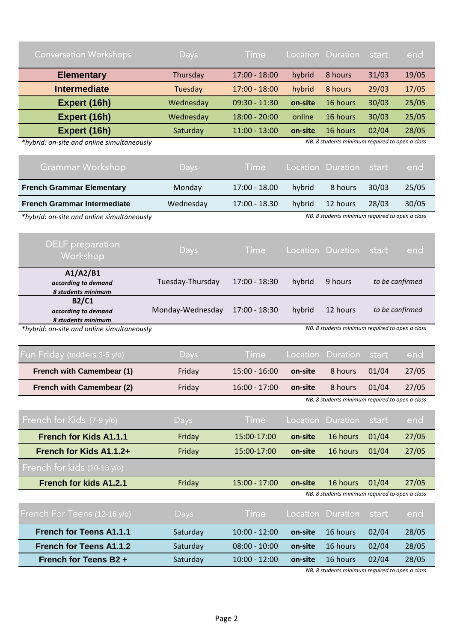| <b>Conversation Workshops</b> | Days      | <b>Time</b>     |         | Location Duration | start | end   |  |
|-------------------------------|-----------|-----------------|---------|-------------------|-------|-------|--|
| <b>Elementary</b>             | Thursday  | $17:00 - 18:00$ | hybrid  | 8 hours           | 31/03 | 19/05 |  |
| <b>Intermediate</b>           | Tuesday   | $17:00 - 18:00$ | hybrid  | 8 hours           | 29/03 | 17/05 |  |
| Expert (16h)                  | Wednesday | $09:30 - 11:30$ | on-site | 16 hours          | 30/03 | 25/05 |  |
| Expert (16h)                  | Wednesday | $18:00 - 20:00$ | online  | 16 hours          | 30/03 | 25/05 |  |
| Expert (16h)                  | Saturday  | $11:00 - 13:00$ | on-site | 16 hours          | 02/04 | 28/05 |  |
|                               |           |                 |         |                   |       |       |  |

 *\*hybrid: on-site and online simultaneously*

Ė

 *NB. 8 students minimum required to open a class*

| Grammar Workshop                           | Days      | Time :          |        | Location Duration start                         |       | end   |
|--------------------------------------------|-----------|-----------------|--------|-------------------------------------------------|-------|-------|
| <b>French Grammar Elementary</b>           | Monday    | 17:00 - 18.00   | hybrid | 8 hours                                         | 30/03 | 25/05 |
| <b>French Grammar Intermediate</b>         | Wednesday | $17:00 - 18.30$ | hybrid | 12 hours                                        | 28/03 | 30/05 |
| *hybrid: on-site and online simultaneously |           |                 |        | NB. 8 students minimum required to open a class |       |       |

| <b>DELF</b> preparation<br>Workshop                   | <b>Days</b>      | <b>Time</b>     |        | Location Duration | end<br>start                                    |  |
|-------------------------------------------------------|------------------|-----------------|--------|-------------------|-------------------------------------------------|--|
| A1/A2/B1<br>according to demand<br>8 students minimum | Tuesday-Thursday | $17:00 - 18:30$ | hybrid | 9 hours           | to be confirmed                                 |  |
| B2/C1<br>according to demand<br>8 students minimum    | Monday-Wednesday | 17:00 - 18:30   | hybrid | 12 hours          | to be confirmed                                 |  |
| $*$ hybrid: on-site and online simultaneously         |                  |                 |        |                   | NB, 8 students minimum required to open a class |  |

 *\*hybrid: on-site and online simultaneously*

 *NB. 8 students minimum required to open a class*

| Fun Friday (toddlers 3-6 y/o)    | Days     | Time            |         | Location Duration                               | start | end   |
|----------------------------------|----------|-----------------|---------|-------------------------------------------------|-------|-------|
| <b>French with Camembear (1)</b> | Friday   | $15:00 - 16:00$ | on-site | 8 hours                                         | 01/04 | 27/05 |
| <b>French with Camembear (2)</b> | Friday   | $16:00 - 17:00$ | on-site | 8 hours                                         | 01/04 | 27/05 |
|                                  |          |                 |         | NB. 8 students minimum required to open a class |       |       |
| French for Kids (7-9 y/o)        | Days     | <b>Time</b>     |         | Location Duration                               | start | end   |
| <b>French for Kids A1.1.1</b>    | Friday   | 15:00-17:00     | on-site | 16 hours                                        | 01/04 | 27/05 |
| French for Kids A1.1.2+          | Friday   | 15:00-17:00     | on-site | 16 hours                                        | 01/04 | 27/05 |
| French for kids (10-13 y/o)      |          |                 |         |                                                 |       |       |
| <b>French for kids A1.2.1</b>    | Friday   | $15:00 - 17:00$ | on-site | 16 hours                                        | 01/04 | 27/05 |
|                                  |          |                 |         | NB. 8 students minimum required to open a class |       |       |
| French For Teens (12-16 y/o)     | Days     | <b>Time</b>     |         | Location Duration                               | start | end   |
| <b>French for Teens A1.1.1</b>   | Saturday | $10:00 - 12:00$ | on-site | 16 hours                                        | 02/04 | 28/05 |

 *NB. 8 students minimum required to open a class*

**French for Teens A1.1.2** Saturday 08:00 - 10:00 **on-site** 16 hours 02/04 28/05 **French for Teens B2 +** Saturday 10:00 - 12:00 **on-site** 16 hours 02/04 28/05